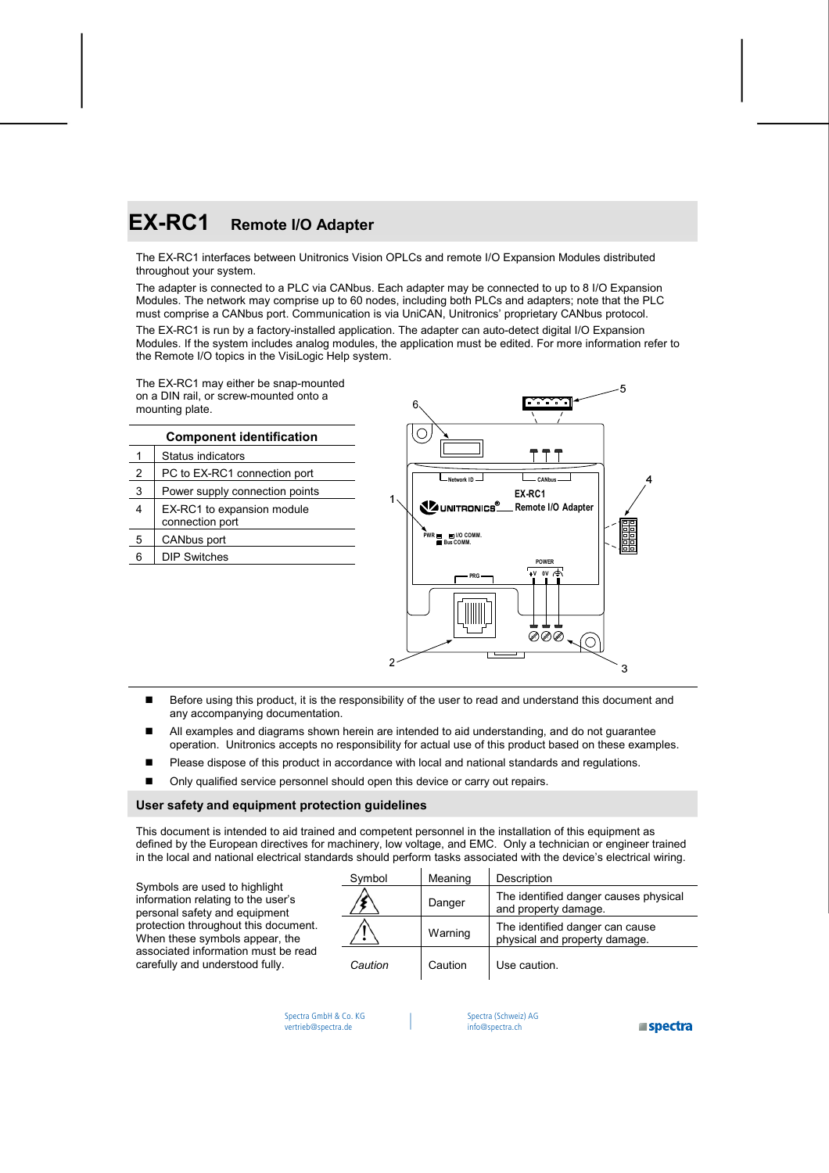# **EX-RC1 Remote I/O Adapter**

The EX-RC1 interfaces between Unitronics Vision OPLCs and remote I/O Expansion Modules distributed throughout your system.

The adapter is connected to a PLC via CANbus. Each adapter may be connected to up to 8 I/O Expansion Modules. The network may comprise up to 60 nodes, including both PLCs and adapters; note that the PLC must comprise a CANbus port. Communication is via UniCAN, Unitronics' proprietary CANbus protocol.

The EX-RC1 is run by a factory-installed application. The adapter can auto-detect digital I/O Expansion Modules. If the system includes analog modules, the application must be edited. For more information refer to the Remote I/O topics in the VisiLogic Help system.

The EX-RC1 may either be snap-mounted on a DIN rail, or screw-mounted onto a mounting plate.

|   | <b>Component identification</b>               |                                           |              |
|---|-----------------------------------------------|-------------------------------------------|--------------|
|   | Status indicators                             |                                           |              |
| 2 | PC to EX-RC1 connection port                  | Network ID                                | CANbu        |
| 3 | Power supply connection points                |                                           | EX-RC1       |
| 4 | EX-RC1 to expansion module<br>connection port | UNITRONICS <sup>®</sup> Remote I/         |              |
| 5 | CANbus port                                   | PWR <b>EDIO COMM.</b><br><b>Bus COMM.</b> |              |
| 6 | <b>DIP Switches</b>                           |                                           | <b>POWER</b> |
|   |                                               | ---                                       | $uv$ ov.     |



- Before using this product, it is the responsibility of the user to read and understand this document and any accompanying documentation.
- All examples and diagrams shown herein are intended to aid understanding, and do not guarantee operation. Unitronics accepts no responsibility for actual use of this product based on these examples.
- Please dispose of this product in accordance with local and national standards and regulations.
- Only qualified service personnel should open this device or carry out repairs.

#### **User safety and equipment protection guidelines**

This document is intended to aid trained and competent personnel in the installation of this equipment as defined by the European directives for machinery, low voltage, and EMC. Only a technician or engineer trained in the local and national electrical standards should perform tasks associated with the device's electrical wiring.

Symbols are used to highlight information relating to the user's personal safety and equipment protection throughout this document. When these symbols appear, the associated information must be read carefully and understood fully.

| Symbol  | Meaning | Description                                                      |
|---------|---------|------------------------------------------------------------------|
|         | Danger  | The identified danger causes physical<br>and property damage.    |
|         | Warning | The identified danger can cause<br>physical and property damage. |
| Caution | Caution | Use caution.                                                     |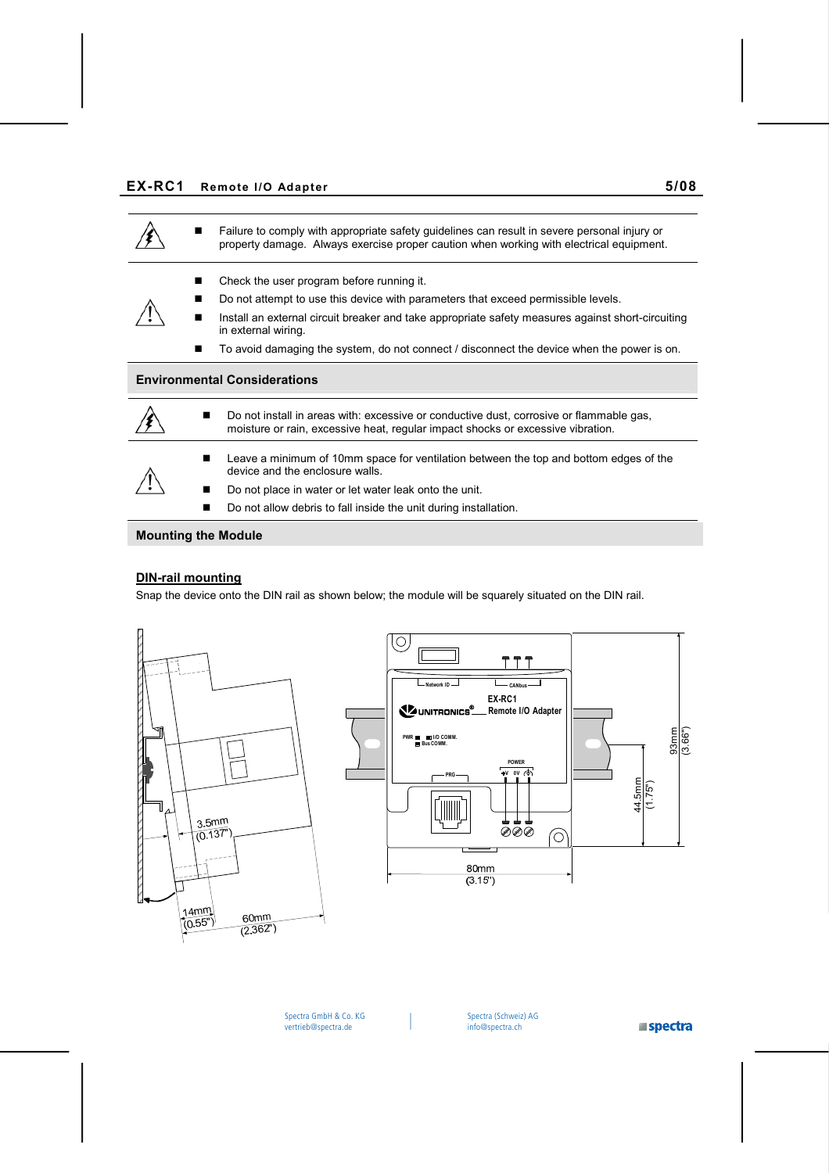

# **DIN-rail mounting**

Snap the device onto the DIN rail as shown below; the module will be squarely situated on the DIN rail.



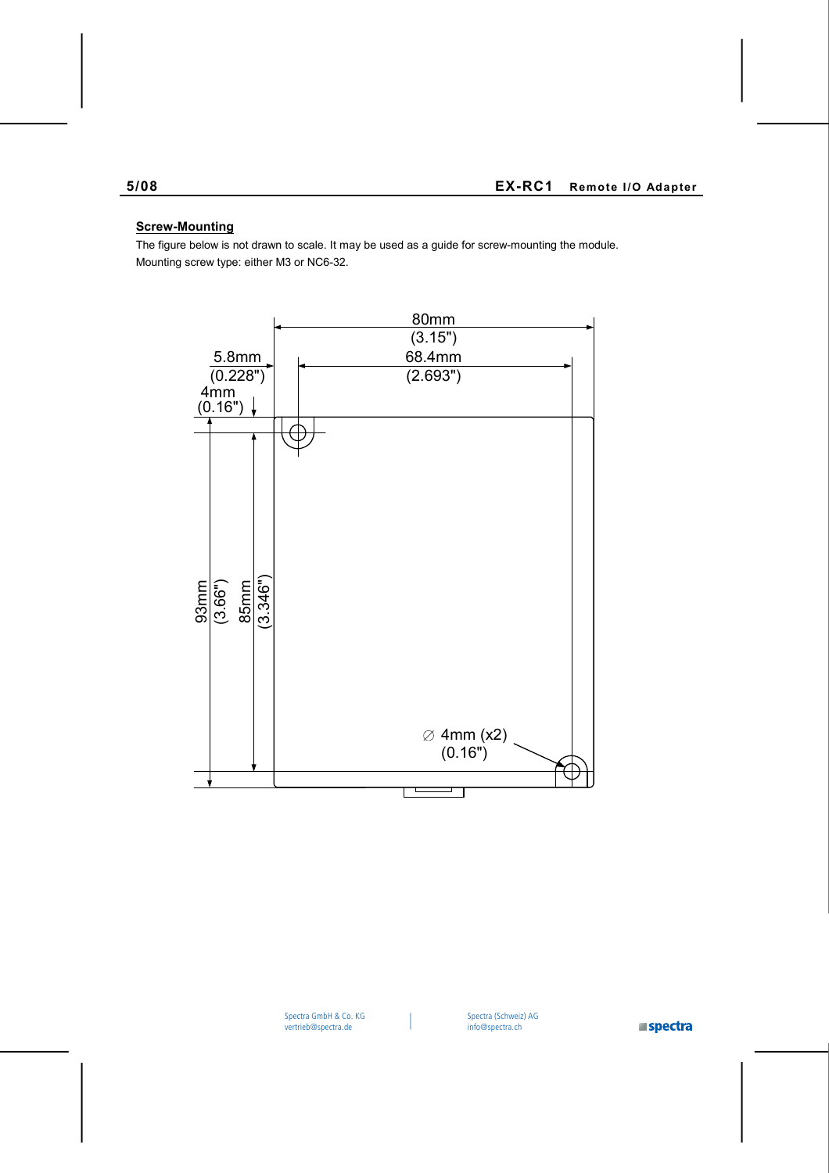# **Screw-Mounting**

The figure below is not drawn to scale. It may be used as a guide for screw-mounting the module. Mounting screw type: either M3 or NC6-32.



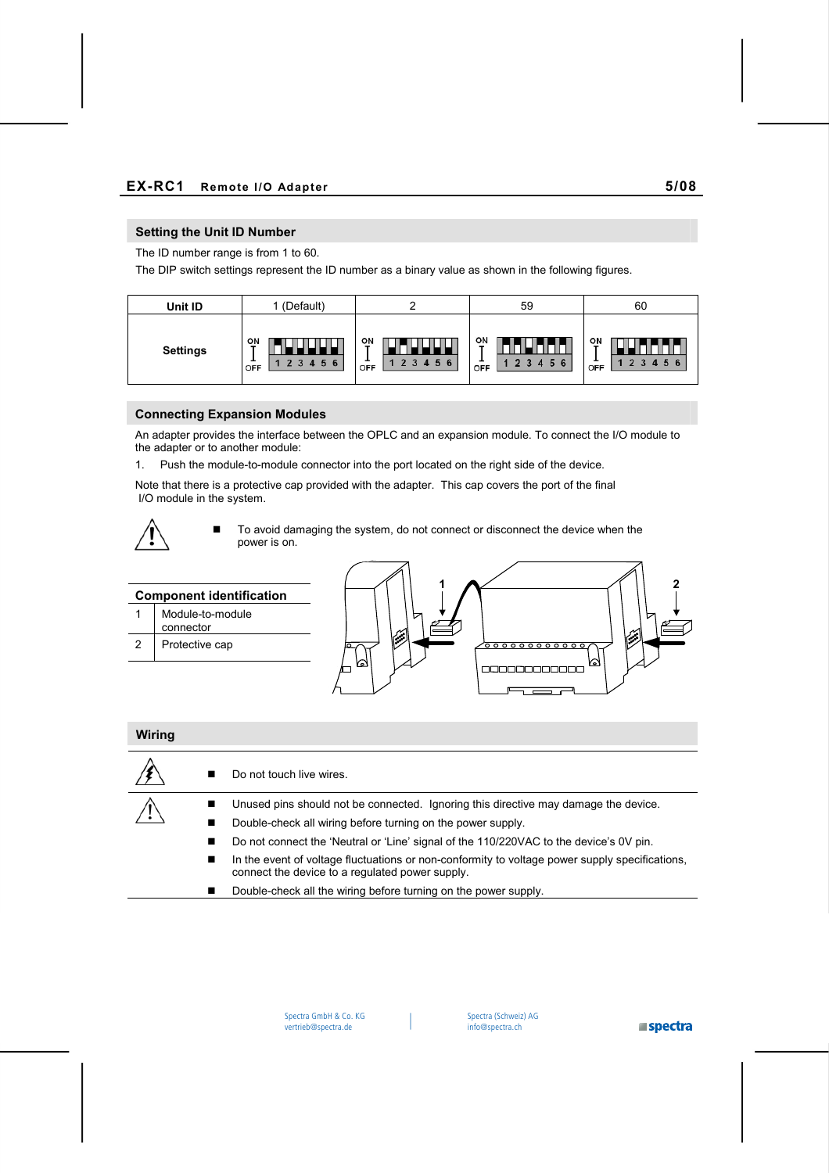### **Setting the Unit ID Number**

The ID number range is from 1 to 60.

The DIP switch settings represent the ID number as a binary value as shown in the following figures.

| Unit ID         | (Default)                    |                      | 59                    | 60                                             |
|-----------------|------------------------------|----------------------|-----------------------|------------------------------------------------|
| <b>Settings</b> | ON<br>-<br><br>6<br>5<br>OFF | ON<br>45<br>6<br>OFF | 애<br>345<br>-6<br>OFF | O٨<br>$\overline{2}$<br>∍<br>-5.<br>- 6<br>OFF |

#### **Connecting Expansion Modules**

An adapter provides the interface between the OPLC and an expansion module. To connect the I/O module to the adapter or to another module:

1. Push the module-to-module connector into the port located on the right side of the device.

Note that there is a protective cap provided with the adapter. This cap covers the port of the final I/O module in the system.



■ To avoid damaging the system, do not connect or disconnect the device when the power is on.

| <b>Component identification</b> |                               |  |  |
|---------------------------------|-------------------------------|--|--|
|                                 | Module-to-module<br>connector |  |  |
| 2                               | Protective cap                |  |  |



#### **Wiring**

|   | Do not touch live wires.                                                                                                                          |
|---|---------------------------------------------------------------------------------------------------------------------------------------------------|
| ■ | Unused pins should not be connected. Ignoring this directive may damage the device.                                                               |
| ■ | Double-check all wiring before turning on the power supply.                                                                                       |
| ■ | Do not connect the 'Neutral or 'Line' signal of the 110/220VAC to the device's 0V pin.                                                            |
| ■ | In the event of voltage fluctuations or non-conformity to voltage power supply specifications,<br>connect the device to a regulated power supply. |
|   | Double-check all the wiring before turning on the power supply.                                                                                   |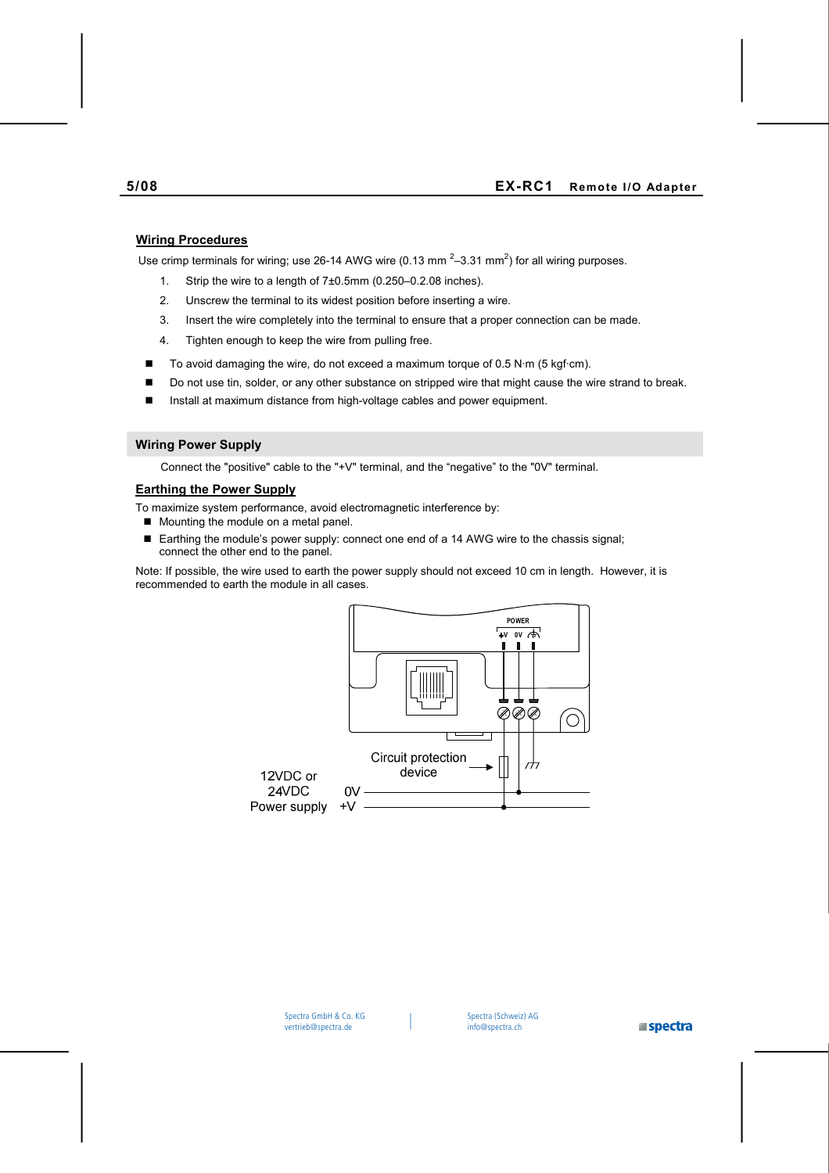# **Wiring Procedures**

Use crimp terminals for wiring; use 26-14 AWG wire (0.13 mm  $^{2}$ –3.31 mm<sup>2</sup>) for all wiring purposes.

- 1. Strip the wire to a length of 7±0.5mm (0.250–0.2.08 inches).
- 2. Unscrew the terminal to its widest position before inserting a wire.
- 3. Insert the wire completely into the terminal to ensure that a proper connection can be made.
- 4. Tighten enough to keep the wire from pulling free.
- $\blacksquare$  To avoid damaging the wire, do not exceed a maximum torque of 0.5 N·m (5 kgf·cm).
- Do not use tin, solder, or any other substance on stripped wire that might cause the wire strand to break.
- Install at maximum distance from high-voltage cables and power equipment.

#### **Wiring Power Supply**

Connect the "positive" cable to the "+V" terminal, and the "negative" to the "0V" terminal.

#### **Earthing the Power Supply**

To maximize system performance, avoid electromagnetic interference by:

- Mounting the module on a metal panel.
- Earthing the module's power supply: connect one end of a 14 AWG wire to the chassis signal; connect the other end to the panel.

Note: If possible, the wire used to earth the power supply should not exceed 10 cm in length. However, it is recommended to earth the module in all cases.



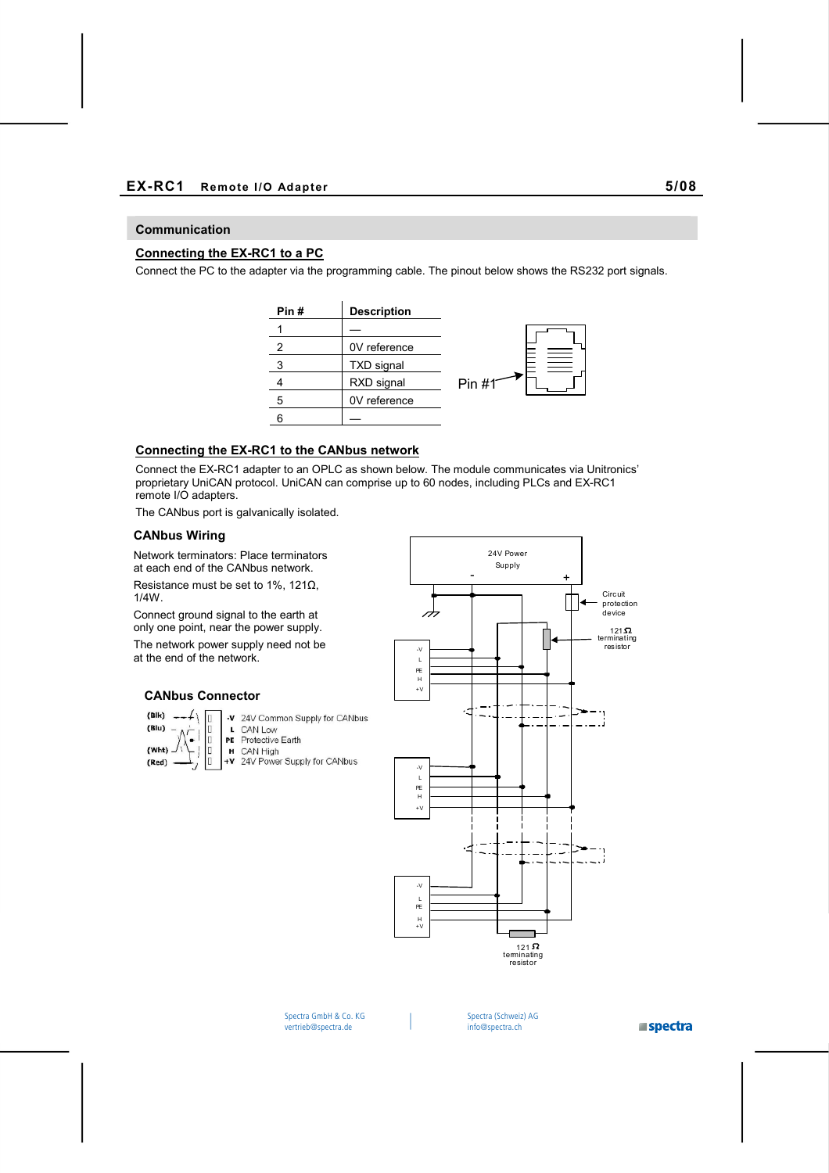#### **Communication**

## **Connecting the EX-RC1 to a PC**

Connect the PC to the adapter via the programming cable. The pinout below shows the RS232 port signals.



# **Connecting the EX-RC1 to the CANbus network**

Connect the EX-RC1 adapter to an OPLC as shown below. The module communicates via Unitronics' proprietary UniCAN protocol. UniCAN can comprise up to 60 nodes, including PLCs and EX-RC1 remote I/O adapters.

The CANbus port is galvanically isolated.

#### **CANbus Wiring**

Network terminators: Place terminators at each end of the CANbus network.

Resistance must be set to 1%, 121 $\Omega$ , 1/4W.

Connect ground signal to the earth at only one point, near the power supply.

The network power supply need not be at the end of the network.



24V Power Supply

#### **CANbus Connector**

 $(B|k)$   $\Lambda$ -V 24V Common Supply for CANbus  $(Blu)$ CAN Low L b PE Protective Earth ٠.  $(Wht)$ O H CAN High +V 24V Power Supply for CANbus  $(Red)$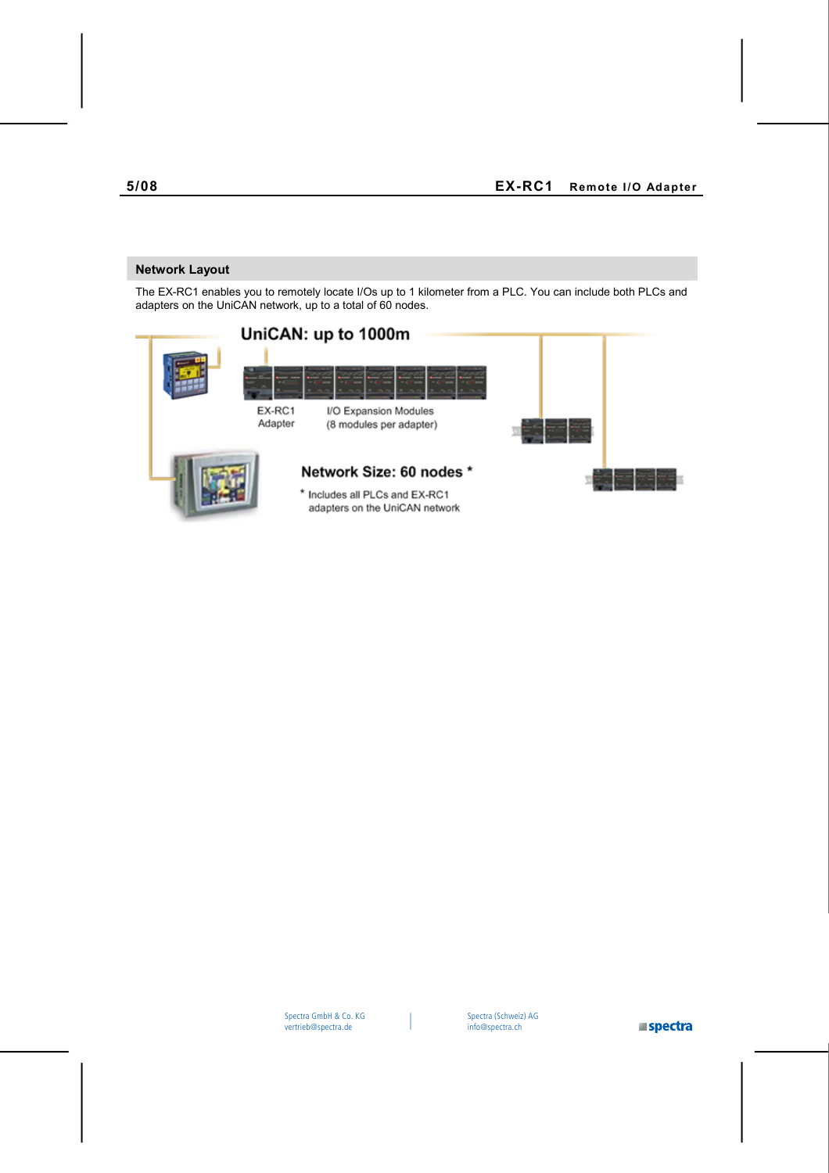# **Network Layout**

The EX-RC1 enables you to remotely locate I/Os up to 1 kilometer from a PLC. You can include both PLCs and adapters on the UniCAN network, up to a total of 60 nodes.